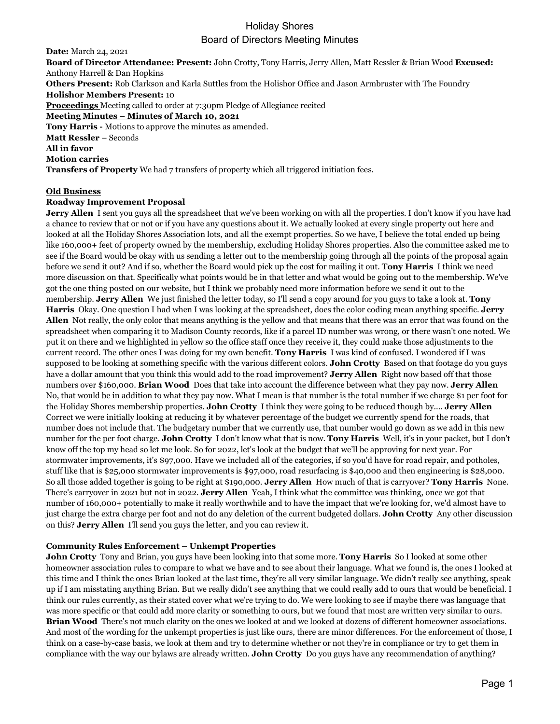**Date:** March 24, 2021 **Board of Director Attendance: Present:** John Crotty, Tony Harris, Jerry Allen, Matt Ressler & Brian Wood **Excused:**  Anthony Harrell & Dan Hopkins **Others Present:** Rob Clarkson and Karla Suttles from the Holishor Office and Jason Armbruster with The Foundry **Holishor Members Present:** 10 **Proceedings** Meeting called to order at 7:30pm Pledge of Allegiance recited **Meeting Minutes – Minutes of March 10, 2021 Tony Harris -** Motions to approve the minutes as amended. **Matt Ressler** – Seconds **All in favor Motion carries Transfers of Property** We had 7 transfers of property which all triggered initiation fees.

### **Old Business**

### **Roadway Improvement Proposal**

**Jerry Allen** I sent you guys all the spreadsheet that we've been working on with all the properties. I don't know if you have had a chance to review that or not or if you have any questions about it. We actually looked at every single property out here and looked at all the Holiday Shores Association lots, and all the exempt properties. So we have, I believe the total ended up being like 160,000+ feet of property owned by the membership, excluding Holiday Shores properties. Also the committee asked me to see if the Board would be okay with us sending a letter out to the membership going through all the points of the proposal again before we send it out? And if so, whether the Board would pick up the cost for mailing it out. **Tony Harris** I think we need more discussion on that. Specifically what points would be in that letter and what would be going out to the membership. We've got the one thing posted on our website, but I think we probably need more information before we send it out to the membership. **Jerry Allen** We just finished the letter today, so I'll send a copy around for you guys to take a look at. **Tony Harris** Okay. One question I had when I was looking at the spreadsheet, does the color coding mean anything specific. **Jerry Allen** Not really, the only color that means anything is the yellow and that means that there was an error that was found on the spreadsheet when comparing it to Madison County records, like if a parcel ID number was wrong, or there wasn't one noted. We put it on there and we highlighted in yellow so the office staff once they receive it, they could make those adjustments to the current record. The other ones I was doing for my own benefit. **Tony Harris** I was kind of confused. I wondered if I was supposed to be looking at something specific with the various different colors. **John Crotty** Based on that footage do you guys have a dollar amount that you think this would add to the road improvement? **Jerry Allen** Right now based off that those numbers over \$160,000. **Brian Wood** Does that take into account the difference between what they pay now. **Jerry Allen**  No, that would be in addition to what they pay now. What I mean is that number is the total number if we charge \$1 per foot for the Holiday Shores membership properties. **John Crotty** I think they were going to be reduced though by.... **Jerry Allen**  Correct we were initially looking at reducing it by whatever percentage of the budget we currently spend for the roads, that number does not include that. The budgetary number that we currently use, that number would go down as we add in this new number for the per foot charge. **John Crotty** I don't know what that is now. **Tony Harris** Well, it's in your packet, but I don't know off the top my head so let me look. So for 2022, let's look at the budget that we'll be approving for next year. For stormwater improvements, it's \$97,000. Have we included all of the categories, if so you'd have for road repair, and potholes, stuff like that is \$25,000 stormwater improvements is \$97,000, road resurfacing is \$40,000 and then engineering is \$28,000. So all those added together is going to be right at \$190,000. **Jerry Allen** How much of that is carryover? **Tony Harris** None. There's carryover in 2021 but not in 2022. **Jerry Allen** Yeah, I think what the committee was thinking, once we got that number of 160,000+ potentially to make it really worthwhile and to have the impact that we're looking for, we'd almost have to just charge the extra charge per foot and not do any deletion of the current budgeted dollars. **John Crotty** Any other discussion on this? **Jerry Allen** I'll send you guys the letter, and you can review it.

### **Community Rules Enforcement – Unkempt Properties**

**John Crotty** Tony and Brian, you guys have been looking into that some more. **Tony Harris** So I looked at some other homeowner association rules to compare to what we have and to see about their language. What we found is, the ones I looked at this time and I think the ones Brian looked at the last time, they're all very similar language. We didn't really see anything, speak up if I am misstating anything Brian. But we really didn't see anything that we could really add to ours that would be beneficial. I think our rules currently, as their stated cover what we're trying to do. We were looking to see if maybe there was language that was more specific or that could add more clarity or something to ours, but we found that most are written very similar to ours. **Brian Wood** There's not much clarity on the ones we looked at and we looked at dozens of different homeowner associations. And most of the wording for the unkempt properties is just like ours, there are minor differences. For the enforcement of those, I think on a case-by-case basis, we look at them and try to determine whether or not they're in compliance or try to get them in compliance with the way our bylaws are already written. **John Crotty** Do you guys have any recommendation of anything?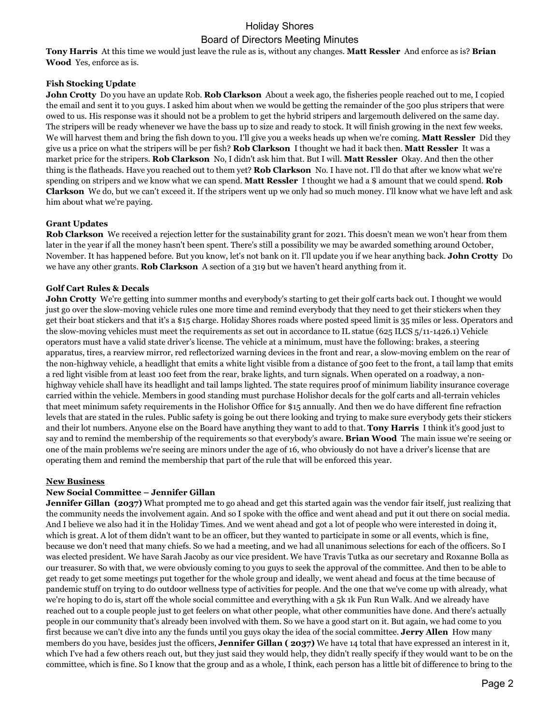**Tony Harris** At this time we would just leave the rule as is, without any changes. **Matt Ressler** And enforce as is? **Brian Wood** Yes, enforce as is.

### **Fish Stocking Update**

**John Crotty** Do you have an update Rob. **Rob Clarkson** About a week ago, the fisheries people reached out to me, I copied the email and sent it to you guys. I asked him about when we would be getting the remainder of the 500 plus stripers that were owed to us. His response was it should not be a problem to get the hybrid stripers and largemouth delivered on the same day. The stripers will be ready whenever we have the bass up to size and ready to stock. It will finish growing in the next few weeks. We will harvest them and bring the fish down to you. I'll give you a weeks heads up when we're coming. **Matt Ressler** Did they give us a price on what the stripers will be per fish? **Rob Clarkson** I thought we had it back then. **Matt Ressler** It was a market price for the stripers. **Rob Clarkson** No, I didn't ask him that. But I will. **Matt Ressler** Okay. And then the other thing is the flatheads. Have you reached out to them yet? **Rob Clarkson** No. I have not. I'll do that after we know what we're spending on stripers and we know what we can spend. **Matt Ressler** I thought we had a \$ amount that we could spend. **Rob Clarkson** We do, but we can't exceed it. If the stripers went up we only had so much money. I'll know what we have left and ask him about what we're paying.

#### **Grant Updates**

**Rob Clarkson** We received a rejection letter for the sustainability grant for 2021. This doesn't mean we won't hear from them later in the year if all the money hasn't been spent. There's still a possibility we may be awarded something around October, November. It has happened before. But you know, let's not bank on it. I'll update you if we hear anything back. **John Crotty** Do we have any other grants. **Rob Clarkson** A section of a 319 but we haven't heard anything from it.

### **Golf Cart Rules & Decals**

**John Crotty** We're getting into summer months and everybody's starting to get their golf carts back out. I thought we would just go over the slow-moving vehicle rules one more time and remind everybody that they need to get their stickers when they get their boat stickers and that it's a \$15 charge. Holiday Shores roads where posted speed limit is 35 miles or less. Operators and the slow-moving vehicles must meet the requirements as set out in accordance to IL statue (625 ILCS 5/11-1426.1) Vehicle operators must have a valid state driver's license. The vehicle at a minimum, must have the following: brakes, a steering apparatus, tires, a rearview mirror, red reflectorized warning devices in the front and rear, a slow-moving emblem on the rear of the non-highway vehicle, a headlight that emits a white light visible from a distance of 500 feet to the front, a tail lamp that emits a red light visible from at least 100 feet from the rear, brake lights, and turn signals. When operated on a roadway, a nonhighway vehicle shall have its headlight and tail lamps lighted. The state requires proof of minimum liability insurance coverage carried within the vehicle. Members in good standing must purchase Holishor decals for the golf carts and all-terrain vehicles that meet minimum safety requirements in the Holishor Office for \$15 annually. And then we do have different fine refraction levels that are stated in the rules. Public safety is going be out there looking and trying to make sure everybody gets their stickers and their lot numbers. Anyone else on the Board have anything they want to add to that. **Tony Harris** I think it's good just to say and to remind the membership of the requirements so that everybody's aware. **Brian Wood** The main issue we're seeing or one of the main problems we're seeing are minors under the age of 16, who obviously do not have a driver's license that are operating them and remind the membership that part of the rule that will be enforced this year.

#### **New Business**

#### **New Social Committee – Jennifer Gillan**

**Jennifer Gillan (2037)** What prompted me to go ahead and get this started again was the vendor fair itself, just realizing that the community needs the involvement again. And so I spoke with the office and went ahead and put it out there on social media. And I believe we also had it in the Holiday Times. And we went ahead and got a lot of people who were interested in doing it, which is great. A lot of them didn't want to be an officer, but they wanted to participate in some or all events, which is fine, because we don't need that many chiefs. So we had a meeting, and we had all unanimous selections for each of the officers. So I was elected president. We have Sarah Jacoby as our vice president. We have Travis Tutka as our secretary and Roxanne Bolla as our treasurer. So with that, we were obviously coming to you guys to seek the approval of the committee. And then to be able to get ready to get some meetings put together for the whole group and ideally, we went ahead and focus at the time because of pandemic stuff on trying to do outdoor wellness type of activities for people. And the one that we've come up with already, what we're hoping to do is, start off the whole social committee and everything with a 5k 1k Fun Run Walk. And we already have reached out to a couple people just to get feelers on what other people, what other communities have done. And there's actually people in our community that's already been involved with them. So we have a good start on it. But again, we had come to you first because we can't dive into any the funds until you guys okay the idea of the social committee. **Jerry Allen** How many members do you have, besides just the officers, **Jennifer Gillan ( 2037)** We have 14 total that have expressed an interest in it, which I've had a few others reach out, but they just said they would help, they didn't really specify if they would want to be on the committee, which is fine. So I know that the group and as a whole, I think, each person has a little bit of difference to bring to the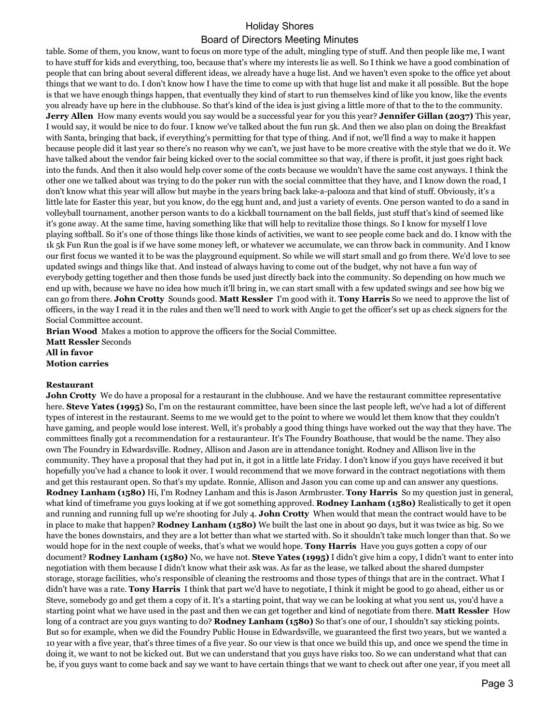table. Some of them, you know, want to focus on more type of the adult, mingling type of stuff. And then people like me, I want to have stuff for kids and everything, too, because that's where my interests lie as well. So I think we have a good combination of people that can bring about several different ideas, we already have a huge list. And we haven't even spoke to the office yet about things that we want to do. I don't know how I have the time to come up with that huge list and make it all possible. But the hope is that we have enough things happen, that eventually they kind of start to run themselves kind of like you know, like the events you already have up here in the clubhouse. So that's kind of the idea is just giving a little more of that to the to the community. **Jerry Allen** How many events would you say would be a successful year for you this year? **Jennifer Gillan (2037)** This year, I would say, it would be nice to do four. I know we've talked about the fun run 5k. And then we also plan on doing the Breakfast with Santa, bringing that back, if everything's permitting for that type of thing. And if not, we'll find a way to make it happen because people did it last year so there's no reason why we can't, we just have to be more creative with the style that we do it. We have talked about the vendor fair being kicked over to the social committee so that way, if there is profit, it just goes right back into the funds. And then it also would help cover some of the costs because we wouldn't have the same cost anyways. I think the other one we talked about was trying to do the poker run with the social committee that they have, and I know down the road, I don't know what this year will allow but maybe in the years bring back lake-a-palooza and that kind of stuff. Obviously, it's a little late for Easter this year, but you know, do the egg hunt and, and just a variety of events. One person wanted to do a sand in volleyball tournament, another person wants to do a kickball tournament on the ball fields, just stuff that's kind of seemed like it's gone away. At the same time, having something like that will help to revitalize those things. So I know for myself I love playing softball. So it's one of those things like those kinds of activities, we want to see people come back and do. I know with the 1k 5k Fun Run the goal is if we have some money left, or whatever we accumulate, we can throw back in community. And I know our first focus we wanted it to be was the playground equipment. So while we will start small and go from there. We'd love to see updated swings and things like that. And instead of always having to come out of the budget, why not have a fun way of everybody getting together and then those funds be used just directly back into the community. So depending on how much we end up with, because we have no idea how much it'll bring in, we can start small with a few updated swings and see how big we can go from there. **John Crotty** Sounds good. **Matt Ressler** I'm good with it. **Tony Harris** So we need to approve the list of officers, in the way I read it in the rules and then we'll need to work with Angie to get the officer's set up as check signers for the Social Committee account.

**Brian Wood** Makes a motion to approve the officers for the Social Committee. **Matt Ressler** Seconds **All in favor Motion carries**

#### **Restaurant**

**John Crotty** We do have a proposal for a restaurant in the clubhouse. And we have the restaurant committee representative here. **Steve Yates (1995)** So, I'm on the restaurant committee, have been since the last people left, we've had a lot of different types of interest in the restaurant. Seems to me we would get to the point to where we would let them know that they couldn't have gaming, and people would lose interest. Well, it's probably a good thing things have worked out the way that they have. The committees finally got a recommendation for a restauranteur. It's The Foundry Boathouse, that would be the name. They also own The Foundry in Edwardsville. Rodney, Allison and Jason are in attendance tonight. Rodney and Allison live in the community. They have a proposal that they had put in, it got in a little late Friday. I don't know if you guys have received it but hopefully you've had a chance to look it over. I would recommend that we move forward in the contract negotiations with them and get this restaurant open. So that's my update. Ronnie, Allison and Jason you can come up and can answer any questions. **Rodney Lanham (1580)** Hi, I'm Rodney Lanham and this is Jason Armbruster. **Tony Harris** So my question just in general, what kind of timeframe you guys looking at if we got something approved. **Rodney Lanham (1580)** Realistically to get it open and running and running full up we're shooting for July 4. **John Crotty** When would that mean the contract would have to be in place to make that happen? **Rodney Lanham (1580)** We built the last one in about 90 days, but it was twice as big. So we have the bones downstairs, and they are a lot better than what we started with. So it shouldn't take much longer than that. So we would hope for in the next couple of weeks, that's what we would hope. **Tony Harris** Have you guys gotten a copy of our document? **Rodney Lanham (1580)** No, we have not. **Steve Yates (1995)** I didn't give him a copy, I didn't want to enter into negotiation with them because I didn't know what their ask was. As far as the lease, we talked about the shared dumpster storage, storage facilities, who's responsible of cleaning the restrooms and those types of things that are in the contract. What I didn't have was a rate. **Tony Harris** I think that part we'd have to negotiate, I think it might be good to go ahead, either us or Steve, somebody go and get them a copy of it. It's a starting point, that way we can be looking at what you sent us, you'd have a starting point what we have used in the past and then we can get together and kind of negotiate from there. **Matt Ressler** How long of a contract are you guys wanting to do? **Rodney Lanham (1580)** So that's one of our, I shouldn't say sticking points. But so for example, when we did the Foundry Public House in Edwardsville, we guaranteed the first two years, but we wanted a 10 year with a five year, that's three times of a five year. So our view is that once we build this up, and once we spend the time in doing it, we want to not be kicked out. But we can understand that you guys have risks too. So we can understand what that can be, if you guys want to come back and say we want to have certain things that we want to check out after one year, if you meet all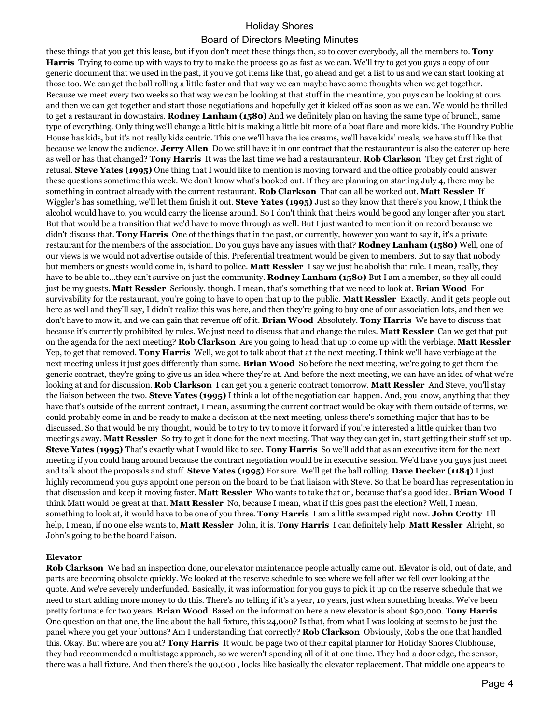# Holiday Shores

# Board of Directors Meeting Minutes

these things that you get this lease, but if you don't meet these things then, so to cover everybody, all the members to. **Tony Harris** Trying to come up with ways to try to make the process go as fast as we can. We'll try to get you guys a copy of our generic document that we used in the past, if you've got items like that, go ahead and get a list to us and we can start looking at those too. We can get the ball rolling a little faster and that way we can maybe have some thoughts when we get together. Because we meet every two weeks so that way we can be looking at that stuff in the meantime, you guys can be looking at ours and then we can get together and start those negotiations and hopefully get it kicked off as soon as we can. We would be thrilled to get a restaurant in downstairs. **Rodney Lanham (1580)** And we definitely plan on having the same type of brunch, same type of everything. Only thing we'll change a little bit is making a little bit more of a boat flare and more kids. The Foundry Public House has kids, but it's not really kids centric. This one we'll have the ice creams, we'll have kids' meals, we have stuff like that because we know the audience. **Jerry Allen** Do we still have it in our contract that the restauranteur is also the caterer up here as well or has that changed? **Tony Harris** It was the last time we had a restauranteur. **Rob Clarkson** They get first right of refusal. **Steve Yates (1995)** One thing that I would like to mention is moving forward and the office probably could answer these questions sometime this week. We don't know what's booked out. If they are planning on starting July 4, there may be something in contract already with the current restaurant. **Rob Clarkson** That can all be worked out. **Matt Ressler** If Wiggler's has something, we'll let them finish it out. **Steve Yates (1995)** Just so they know that there's you know, I think the alcohol would have to, you would carry the license around. So I don't think that theirs would be good any longer after you start. But that would be a transition that we'd have to move through as well. But I just wanted to mention it on record because we didn't discuss that. **Tony Harris** One of the things that in the past, or currently, however you want to say it, it's a private restaurant for the members of the association. Do you guys have any issues with that? **Rodney Lanham (1580)** Well, one of our views is we would not advertise outside of this. Preferential treatment would be given to members. But to say that nobody but members or guests would come in, is hard to police. **Matt Ressler** I say we just he abolish that rule. I mean, really, they have to be able to...they can't survive on just the community. **Rodney Lanham (1580)** But I am a member, so they all could just be my guests. **Matt Ressler** Seriously, though, I mean, that's something that we need to look at. **Brian Wood** For survivability for the restaurant, you're going to have to open that up to the public. **Matt Ressler** Exactly. And it gets people out here as well and they'll say, I didn't realize this was here, and then they're going to buy one of our association lots, and then we don't have to mow it, and we can gain that revenue off of it. **Brian Wood** Absolutely. **Tony Harris** We have to discuss that because it's currently prohibited by rules. We just need to discuss that and change the rules. **Matt Ressler** Can we get that put on the agenda for the next meeting? **Rob Clarkson** Are you going to head that up to come up with the verbiage. **Matt Ressler**  Yep, to get that removed. **Tony Harris** Well, we got to talk about that at the next meeting. I think we'll have verbiage at the next meeting unless it just goes differently than some. **Brian Wood** So before the next meeting, we're going to get them the generic contract, they're going to give us an idea where they're at. And before the next meeting, we can have an idea of what we're looking at and for discussion. **Rob Clarkson** I can get you a generic contract tomorrow. **Matt Ressler** And Steve, you'll stay the liaison between the two. **Steve Yates (1995)** I think a lot of the negotiation can happen. And, you know, anything that they have that's outside of the current contract, I mean, assuming the current contract would be okay with them outside of terms, we could probably come in and be ready to make a decision at the next meeting, unless there's something major that has to be discussed. So that would be my thought, would be to try to try to move it forward if you're interested a little quicker than two meetings away. **Matt Ressler** So try to get it done for the next meeting. That way they can get in, start getting their stuff set up. **Steve Yates (1995)** That's exactly what I would like to see. **Tony Harris** So we'll add that as an executive item for the next meeting if you could hang around because the contract negotiation would be in executive session. We'd have you guys just meet and talk about the proposals and stuff. **Steve Yates (1995)** For sure. We'll get the ball rolling. **Dave Decker (1184)** I just highly recommend you guys appoint one person on the board to be that liaison with Steve. So that he board has representation in that discussion and keep it moving faster. **Matt Ressler** Who wants to take that on, because that's a good idea. **Brian Wood** I think Matt would be great at that. **Matt Ressler** No, because I mean, what if this goes past the election? Well, I mean, something to look at, it would have to be one of you three. **Tony Harris** I am a little swamped right now. **John Crotty** I'll help, I mean, if no one else wants to, **Matt Ressler** John, it is. **Tony Harris** I can definitely help. **Matt Ressler** Alright, so John's going to be the board liaison.

#### **Elevator**

**Rob Clarkson** We had an inspection done, our elevator maintenance people actually came out. Elevator is old, out of date, and parts are becoming obsolete quickly. We looked at the reserve schedule to see where we fell after we fell over looking at the quote. And we're severely underfunded. Basically, it was information for you guys to pick it up on the reserve schedule that we need to start adding more money to do this. There's no telling if it's a year, 10 years, just when something breaks. We've been pretty fortunate for two years. **Brian Wood** Based on the information here a new elevator is about \$90,000. **Tony Harris**  One question on that one, the line about the hall fixture, this 24,000? Is that, from what I was looking at seems to be just the panel where you get your buttons? Am I understanding that correctly? **Rob Clarkson** Obviously, Rob's the one that handled this. Okay. But where are you at? **Tony Harris** It would be page two of their capital planner for Holiday Shores Clubhouse, they had recommended a multistage approach, so we weren't spending all of it at one time. They had a door edge, the sensor, there was a hall fixture. And then there's the 90,000 , looks like basically the elevator replacement. That middle one appears to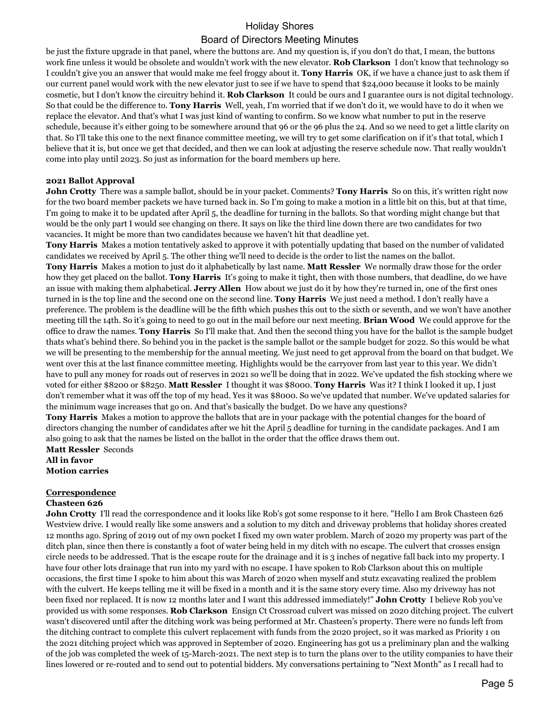be just the fixture upgrade in that panel, where the buttons are. And my question is, if you don't do that, I mean, the buttons work fine unless it would be obsolete and wouldn't work with the new elevator. **Rob Clarkson** I don't know that technology so I couldn't give you an answer that would make me feel froggy about it. **Tony Harris** OK, if we have a chance just to ask them if our current panel would work with the new elevator just to see if we have to spend that \$24,000 because it looks to be mainly cosmetic, but I don't know the circuitry behind it. **Rob Clarkson** It could be ours and I guarantee ours is not digital technology. So that could be the difference to. **Tony Harris** Well, yeah, I'm worried that if we don't do it, we would have to do it when we replace the elevator. And that's what I was just kind of wanting to confirm. So we know what number to put in the reserve schedule, because it's either going to be somewhere around that 96 or the 96 plus the 24. And so we need to get a little clarity on that. So I'll take this one to the next finance committee meeting, we will try to get some clarification on if it's that total, which I believe that it is, but once we get that decided, and then we can look at adjusting the reserve schedule now. That really wouldn't come into play until 2023. So just as information for the board members up here.

### **2021 Ballot Approval**

**John Crotty** There was a sample ballot, should be in your packet. Comments? **Tony Harris** So on this, it's written right now for the two board member packets we have turned back in. So I'm going to make a motion in a little bit on this, but at that time, I'm going to make it to be updated after April 5, the deadline for turning in the ballots. So that wording might change but that would be the only part I would see changing on there. It says on like the third line down there are two candidates for two vacancies. It might be more than two candidates because we haven't hit that deadline yet.

**Tony Harris** Makes a motion tentatively asked to approve it with potentially updating that based on the number of validated candidates we received by April 5. The other thing we'll need to decide is the order to list the names on the ballot. **Tony Harris** Makes a motion to just do it alphabetically by last name. **Matt Ressler** We normally draw those for the order how they get placed on the ballot. **Tony Harris** It's going to make it tight, then with those numbers, that deadline, do we have an issue with making them alphabetical. **Jerry Allen** How about we just do it by how they're turned in, one of the first ones turned in is the top line and the second one on the second line. **Tony Harris** We just need a method. I don't really have a preference. The problem is the deadline will be the fifth which pushes this out to the sixth or seventh, and we won't have another meeting till the 14th. So it's going to need to go out in the mail before our next meeting. **Brian Wood** We could approve for the office to draw the names. **Tony Harris** So I'll make that. And then the second thing you have for the ballot is the sample budget thats what's behind there. So behind you in the packet is the sample ballot or the sample budget for 2022. So this would be what we will be presenting to the membership for the annual meeting. We just need to get approval from the board on that budget. We went over this at the last finance committee meeting. Highlights would be the carryover from last year to this year. We didn't have to pull any money for roads out of reserves in 2021 so we'll be doing that in 2022. We've updated the fish stocking where we voted for either \$8200 or \$8250. **Matt Ressler** I thought it was \$8000. **Tony Harris** Was it? I think I looked it up, I just don't remember what it was off the top of my head. Yes it was \$8000. So we've updated that number. We've updated salaries for the minimum wage increases that go on. And that's basically the budget. Do we have any questions?

**Tony Harris** Makes a motion to approve the ballots that are in your package with the potential changes for the board of directors changing the number of candidates after we hit the April 5 deadline for turning in the candidate packages. And I am also going to ask that the names be listed on the ballot in the order that the office draws them out.

**Matt Ressler** Seconds **All in favor Motion carries**

### **Correspondence Chasteen 626**

**John Crotty** I'll read the correspondence and it looks like Rob's got some response to it here. "Hello I am Brok Chasteen 626 Westview drive. I would really like some answers and a solution to my ditch and driveway problems that holiday shores created 12 months ago. Spring of 2019 out of my own pocket I fixed my own water problem. March of 2020 my property was part of the ditch plan, since then there is constantly a foot of water being held in my ditch with no escape. The culvert that crosses ensign circle needs to be addressed. That is the escape route for the drainage and it is 3 inches of negative fall back into my property. I have four other lots drainage that run into my yard with no escape. I have spoken to Rob Clarkson about this on multiple occasions, the first time I spoke to him about this was March of 2020 when myself and stutz excavating realized the problem with the culvert. He keeps telling me it will be fixed in a month and it is the same story every time. Also my driveway has not been fixed nor replaced. It is now 12 months later and I want this addressed immediately!" **John Crotty** I believe Rob you've provided us with some responses. **Rob Clarkson** Ensign Ct Crossroad culvert was missed on 2020 ditching project. The culvert wasn't discovered until after the ditching work was being performed at Mr. Chasteen's property. There were no funds left from the ditching contract to complete this culvert replacement with funds from the 2020 project, so it was marked as Priority 1 on the 2021 ditching project which was approved in September of 2020. Engineering has got us a preliminary plan and the walking of the job was completed the week of 15-March-2021. The next step is to turn the plans over to the utility companies to have their lines lowered or re-routed and to send out to potential bidders. My conversations pertaining to "Next Month" as I recall had to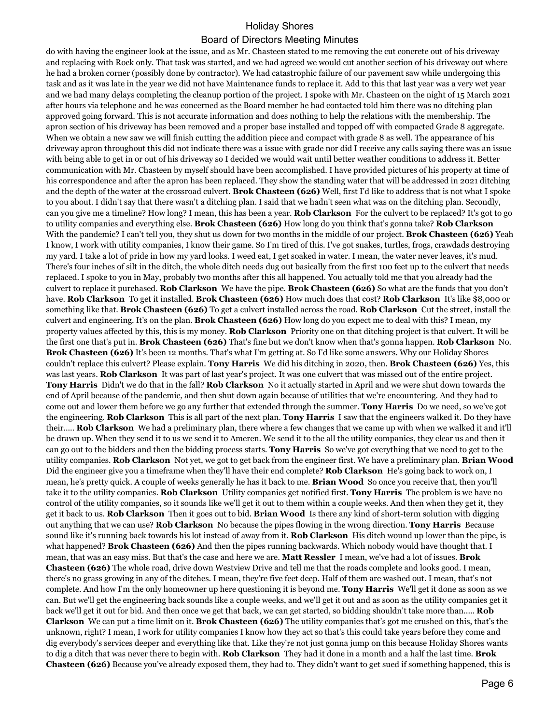do with having the engineer look at the issue, and as Mr. Chasteen stated to me removing the cut concrete out of his driveway and replacing with Rock only. That task was started, and we had agreed we would cut another section of his driveway out where he had a broken corner (possibly done by contractor). We had catastrophic failure of our pavement saw while undergoing this task and as it was late in the year we did not have Maintenance funds to replace it. Add to this that last year was a very wet year and we had many delays completing the cleanup portion of the project. I spoke with Mr. Chasteen on the night of 15 March 2021 after hours via telephone and he was concerned as the Board member he had contacted told him there was no ditching plan approved going forward. This is not accurate information and does nothing to help the relations with the membership. The apron section of his driveway has been removed and a proper base installed and topped off with compacted Grade 8 aggregate. When we obtain a new saw we will finish cutting the addition piece and compact with grade 8 as well. The appearance of his driveway apron throughout this did not indicate there was a issue with grade nor did I receive any calls saying there was an issue with being able to get in or out of his driveway so I decided we would wait until better weather conditions to address it. Better communication with Mr. Chasteen by myself should have been accomplished. I have provided pictures of his property at time of his correspondence and after the apron has been replaced. They show the standing water that will be addressed in 2021 ditching and the depth of the water at the crossroad culvert. **Brok Chasteen (626)** Well, first I'd like to address that is not what I spoke to you about. I didn't say that there wasn't a ditching plan. I said that we hadn't seen what was on the ditching plan. Secondly, can you give me a timeline? How long? I mean, this has been a year. **Rob Clarkson** For the culvert to be replaced? It's got to go to utility companies and everything else. **Brok Chasteen (626)** How long do you think that's gonna take? **Rob Clarkson**  With the pandemic? I can't tell you, they shut us down for two months in the middle of our project. **Brok Chasteen (626)** Yeah I know, I work with utility companies, I know their game. So I'm tired of this. I've got snakes, turtles, frogs, crawdads destroying my yard. I take a lot of pride in how my yard looks. I weed eat, I get soaked in water. I mean, the water never leaves, it's mud. There's four inches of silt in the ditch, the whole ditch needs dug out basically from the first 100 feet up to the culvert that needs replaced. I spoke to you in May, probably two months after this all happened. You actually told me that you already had the culvert to replace it purchased. **Rob Clarkson** We have the pipe. **Brok Chasteen (626)** So what are the funds that you don't have. **Rob Clarkson** To get it installed. **Brok Chasteen (626)** How much does that cost? **Rob Clarkson** It's like \$8,000 or something like that. **Brok Chasteen (626)** To get a culvert installed across the road. **Rob Clarkson** Cut the street, install the culvert and engineering. It's on the plan. **Brok Chasteen (626)** How long do you expect me to deal with this? I mean, my property values affected by this, this is my money. **Rob Clarkson** Priority one on that ditching project is that culvert. It will be the first one that's put in. **Brok Chasteen (626)** That's fine but we don't know when that's gonna happen. **Rob Clarkson** No. **Brok Chasteen (626)** It's been 12 months. That's what I'm getting at. So I'd like some answers. Why our Holiday Shores couldn't replace this culvert? Please explain. **Tony Harris** We did his ditching in 2020, then. **Brok Chasteen (626)** Yes, this was last years. **Rob Clarkson** It was part of last year's project. It was one culvert that was missed out of the entire project. **Tony Harris** Didn't we do that in the fall? **Rob Clarkson** No it actually started in April and we were shut down towards the end of April because of the pandemic, and then shut down again because of utilities that we're encountering. And they had to come out and lower them before we go any further that extended through the summer. **Tony Harris** Do we need, so we've got the engineering. **Rob Clarkson** This is all part of the next plan. **Tony Harris** I saw that the engineers walked it. Do they have their..... **Rob Clarkson** We had a preliminary plan, there where a few changes that we came up with when we walked it and it'll be drawn up. When they send it to us we send it to Ameren. We send it to the all the utility companies, they clear us and then it can go out to the bidders and then the bidding process starts. **Tony Harris** So we've got everything that we need to get to the utility companies. **Rob Clarkson** Not yet, we got to get back from the engineer first. We have a preliminary plan. **Brian Wood**  Did the engineer give you a timeframe when they'll have their end complete? **Rob Clarkson** He's going back to work on, I mean, he's pretty quick. A couple of weeks generally he has it back to me. **Brian Wood** So once you receive that, then you'll take it to the utility companies. **Rob Clarkson** Utility companies get notified first. **Tony Harris** The problem is we have no control of the utility companies, so it sounds like we'll get it out to them within a couple weeks. And then when they get it, they get it back to us. **Rob Clarkson** Then it goes out to bid. **Brian Wood** Is there any kind of short-term solution with digging out anything that we can use? **Rob Clarkson** No because the pipes flowing in the wrong direction. **Tony Harris** Because sound like it's running back towards his lot instead of away from it. **Rob Clarkson** His ditch wound up lower than the pipe, is what happened? **Brok Chasteen (626)** And then the pipes running backwards. Which nobody would have thought that. I mean, that was an easy miss. But that's the case and here we are. **Matt Ressler** I mean, we've had a lot of issues. **Brok Chasteen (626)** The whole road, drive down Westview Drive and tell me that the roads complete and looks good. I mean, there's no grass growing in any of the ditches. I mean, they're five feet deep. Half of them are washed out. I mean, that's not complete. And how I'm the only homeowner up here questioning it is beyond me. **Tony Harris** We'll get it done as soon as we can. But we'll get the engineering back sounds like a couple weeks, and we'll get it out and as soon as the utility companies get it back we'll get it out for bid. And then once we get that back, we can get started, so bidding shouldn't take more than..... **Rob Clarkson** We can put a time limit on it. **Brok Chasteen (626)** The utility companies that's got me crushed on this, that's the unknown, right? I mean, I work for utility companies I know how they act so that's this could take years before they come and dig everybody's services deeper and everything like that. Like they're not just gonna jump on this because Holiday Shores wants to dig a ditch that was never there to begin with. **Rob Clarkson** They had it done in a month and a half the last time. **Brok Chasteen (626)** Because you've already exposed them, they had to. They didn't want to get sued if something happened, this is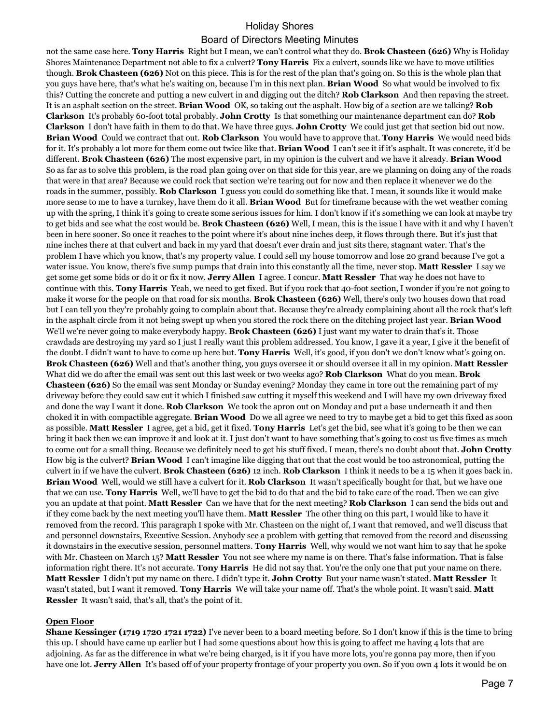# Holiday Shores

### Board of Directors Meeting Minutes

not the same case here. **Tony Harris** Right but I mean, we can't control what they do. **Brok Chasteen (626)** Why is Holiday Shores Maintenance Department not able to fix a culvert? **Tony Harris** Fix a culvert, sounds like we have to move utilities though. **Brok Chasteen (626)** Not on this piece. This is for the rest of the plan that's going on. So this is the whole plan that you guys have here, that's what he's waiting on, because I'm in this next plan. **Brian Wood** So what would be involved to fix this? Cutting the concrete and putting a new culvert in and digging out the ditch? **Rob Clarkson** And then repaving the street. It is an asphalt section on the street. **Brian Wood** OK, so taking out the asphalt. How big of a section are we talking? **Rob Clarkson** It's probably 60-foot total probably. **John Crotty** Is that something our maintenance department can do? **Rob Clarkson** I don't have faith in them to do that. We have three guys. **John Crotty** We could just get that section bid out now. **Brian Wood** Could we contract that out. **Rob Clarkson** You would have to approve that. **Tony Harris** We would need bids for it. It's probably a lot more for them come out twice like that. **Brian Wood** I can't see it if it's asphalt. It was concrete, it'd be different. **Brok Chasteen (626)** The most expensive part, in my opinion is the culvert and we have it already. **Brian Wood**  So as far as to solve this problem, is the road plan going over on that side for this year, are we planning on doing any of the roads that were in that area? Because we could rock that section we're tearing out for now and then replace it whenever we do the roads in the summer, possibly. **Rob Clarkson** I guess you could do something like that. I mean, it sounds like it would make more sense to me to have a turnkey, have them do it all. **Brian Wood** But for timeframe because with the wet weather coming up with the spring, I think it's going to create some serious issues for him. I don't know if it's something we can look at maybe try to get bids and see what the cost would be. **Brok Chasteen (626)** Well, I mean, this is the issue I have with it and why I haven't been in here sooner. So once it reaches to the point where it's about nine inches deep, it flows through there. But it's just that nine inches there at that culvert and back in my yard that doesn't ever drain and just sits there, stagnant water. That's the problem I have which you know, that's my property value. I could sell my house tomorrow and lose 20 grand because I've got a water issue. You know, there's five sump pumps that drain into this constantly all the time, never stop. **Matt Ressler** I say we get some get some bids or do it or fix it now. **Jerry Allen** I agree. I concur. **Matt Ressler** That way he does not have to continue with this. **Tony Harris** Yeah, we need to get fixed. But if you rock that 40-foot section, I wonder if you're not going to make it worse for the people on that road for six months. **Brok Chasteen (626)** Well, there's only two houses down that road but I can tell you they're probably going to complain about that. Because they're already complaining about all the rock that's left in the asphalt circle from it not being swept up when you stored the rock there on the ditching project last year. **Brian Wood**  We'll we're never going to make everybody happy. **Brok Chasteen (626)** I just want my water to drain that's it. Those crawdads are destroying my yard so I just I really want this problem addressed. You know, I gave it a year, I give it the benefit of the doubt. I didn't want to have to come up here but. **Tony Harris** Well, it's good, if you don't we don't know what's going on. **Brok Chasteen (626)** Well and that's another thing, you guys oversee it or should oversee it all in my opinion. **Matt Ressler**  What did we do after the email was sent out this last week or two weeks ago? **Rob Clarkson** What do you mean. **Brok Chasteen (626)** So the email was sent Monday or Sunday evening? Monday they came in tore out the remaining part of my driveway before they could saw cut it which I finished saw cutting it myself this weekend and I will have my own driveway fixed and done the way I want it done. **Rob Clarkson** We took the apron out on Monday and put a base underneath it and then choked it in with compactible aggregate. **Brian Wood** Do we all agree we need to try to maybe get a bid to get this fixed as soon as possible. **Matt Ressler** I agree, get a bid, get it fixed. **Tony Harris** Let's get the bid, see what it's going to be then we can bring it back then we can improve it and look at it. I just don't want to have something that's going to cost us five times as much to come out for a small thing. Because we definitely need to get his stuff fixed. I mean, there's no doubt about that. **John Crotty**  How big is the culvert? **Brian Wood** I can't imagine like digging that out that the cost would be too astronomical, putting the culvert in if we have the culvert. **Brok Chasteen (626)** 12 inch. **Rob Clarkson** I think it needs to be a 15 when it goes back in. **Brian Wood** Well, would we still have a culvert for it. **Rob Clarkson** It wasn't specifically bought for that, but we have one that we can use. **Tony Harris** Well, we'll have to get the bid to do that and the bid to take care of the road. Then we can give you an update at that point. **Matt Ressler** Can we have that for the next meeting? **Rob Clarkson** I can send the bids out and if they come back by the next meeting you'll have them. **Matt Ressler** The other thing on this part, I would like to have it removed from the record. This paragraph I spoke with Mr. Chasteen on the night of, I want that removed, and we'll discuss that and personnel downstairs, Executive Session. Anybody see a problem with getting that removed from the record and discussing it downstairs in the executive session, personnel matters. **Tony Harris** Well, why would we not want him to say that he spoke with Mr. Chasteen on March 15? **Matt Ressler** You not see where my name is on there. That's false information. That is false information right there. It's not accurate. **Tony Harris** He did not say that. You're the only one that put your name on there. **Matt Ressler** I didn't put my name on there. I didn't type it. **John Crotty** But your name wasn't stated. **Matt Ressler** It wasn't stated, but I want it removed. **Tony Harris** We will take your name off. That's the whole point. It wasn't said. **Matt Ressler** It wasn't said, that's all, that's the point of it.

#### **Open Floor**

**Shane Kessinger (1719 1720 1721 1722)** I've never been to a board meeting before. So I don't know if this is the time to bring this up. I should have came up earlier but I had some questions about how this is going to affect me having 4 lots that are adjoining. As far as the difference in what we're being charged, is it if you have more lots, you're gonna pay more, then if you have one lot. **Jerry Allen** It's based off of your property frontage of your property you own. So if you own 4 lots it would be on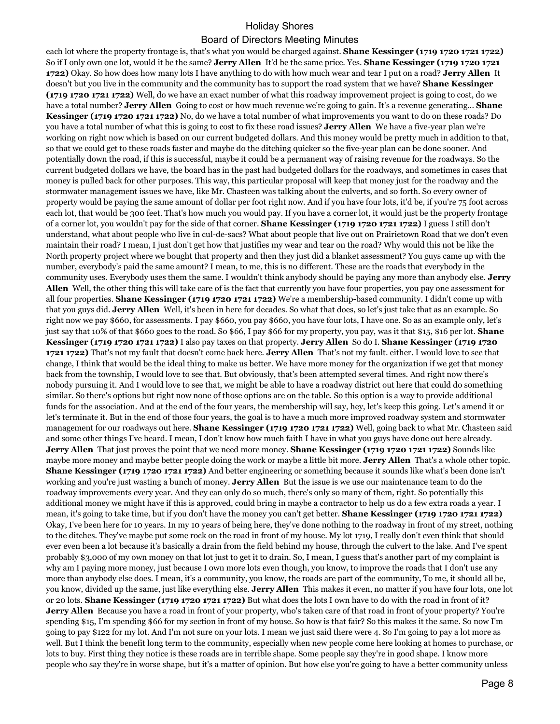# Holiday Shores

### Board of Directors Meeting Minutes

each lot where the property frontage is, that's what you would be charged against. **Shane Kessinger (1719 1720 1721 1722)**  So if I only own one lot, would it be the same? **Jerry Allen** It'd be the same price. Yes. **Shane Kessinger (1719 1720 1721 1722)** Okay. So how does how many lots I have anything to do with how much wear and tear I put on a road? **Jerry Allen** It doesn't but you live in the community and the community has to support the road system that we have? **Shane Kessinger (1719 1720 1721 1722)** Well, do we have an exact number of what this roadway improvement project is going to cost, do we have a total number? **Jerry Allen** Going to cost or how much revenue we're going to gain. It's a revenue generating... **Shane Kessinger (1719 1720 1721 1722)** No, do we have a total number of what improvements you want to do on these roads? Do you have a total number of what this is going to cost to fix these road issues? **Jerry Allen** We have a five-year plan we're working on right now which is based on our current budgeted dollars. And this money would be pretty much in addition to that, so that we could get to these roads faster and maybe do the ditching quicker so the five-year plan can be done sooner. And potentially down the road, if this is successful, maybe it could be a permanent way of raising revenue for the roadways. So the current budgeted dollars we have, the board has in the past had budgeted dollars for the roadways, and sometimes in cases that money is pulled back for other purposes. This way, this particular proposal will keep that money just for the roadway and the stormwater management issues we have, like Mr. Chasteen was talking about the culverts, and so forth. So every owner of property would be paying the same amount of dollar per foot right now. And if you have four lots, it'd be, if you're 75 foot across each lot, that would be 300 feet. That's how much you would pay. If you have a corner lot, it would just be the property frontage of a corner lot, you wouldn't pay for the side of that corner. **Shane Kessinger (1719 1720 1721 1722)** I guess I still don't understand, what about people who live in cul-de-sacs? What about people that live out on Prairietown Road that we don't even maintain their road? I mean, I just don't get how that justifies my wear and tear on the road? Why would this not be like the North property project where we bought that property and then they just did a blanket assessment? You guys came up with the number, everybody's paid the same amount? I mean, to me, this is no different. These are the roads that everybody in the community uses. Everybody uses them the same. I wouldn't think anybody should be paying any more than anybody else. **Jerry Allen** Well, the other thing this will take care of is the fact that currently you have four properties, you pay one assessment for all four properties. **Shane Kessinger (1719 1720 1721 1722)** We're a membership-based community. I didn't come up with that you guys did. **Jerry Allen** Well, it's been in here for decades. So what that does, so let's just take that as an example. So right now we pay \$660, for assessments. I pay \$660, you pay \$660, you have four lots, I have one. So as an example only, let's just say that 10% of that \$660 goes to the road. So \$66, I pay \$66 for my property, you pay, was it that \$15, \$16 per lot. **Shane Kessinger (1719 1720 1721 1722)** I also pay taxes on that property. **Jerry Allen** So do I. **Shane Kessinger (1719 1720 1721 1722)** That's not my fault that doesn't come back here. **Jerry Allen** That's not my fault. either. I would love to see that change, I think that would be the ideal thing to make us better. We have more money for the organization if we get that money back from the township, I would love to see that. But obviously, that's been attempted several times. And right now there's nobody pursuing it. And I would love to see that, we might be able to have a roadway district out here that could do something similar. So there's options but right now none of those options are on the table. So this option is a way to provide additional funds for the association. And at the end of the four years, the membership will say, hey, let's keep this going. Let's amend it or let's terminate it. But in the end of those four years, the goal is to have a much more improved roadway system and stormwater management for our roadways out here. **Shane Kessinger (1719 1720 1721 1722)** Well, going back to what Mr. Chasteen said and some other things I've heard. I mean, I don't know how much faith I have in what you guys have done out here already. **Jerry Allen** That just proves the point that we need more money. **Shane Kessinger (1719 1720 1721 1722)** Sounds like maybe more money and maybe better people doing the work or maybe a little bit more. **Jerry Allen** That's a whole other topic. **Shane Kessinger (1719 1720 1721 1722)** And better engineering or something because it sounds like what's been done isn't working and you're just wasting a bunch of money. **Jerry Allen** But the issue is we use our maintenance team to do the roadway improvements every year. And they can only do so much, there's only so many of them, right. So potentially this additional money we might have if this is approved, could bring in maybe a contractor to help us do a few extra roads a year. I mean, it's going to take time, but if you don't have the money you can't get better. **Shane Kessinger (1719 1720 1721 1722)**  Okay, I've been here for 10 years. In my 10 years of being here, they've done nothing to the roadway in front of my street, nothing to the ditches. They've maybe put some rock on the road in front of my house. My lot 1719, I really don't even think that should ever even been a lot because it's basically a drain from the field behind my house, through the culvert to the lake. And I've spent probably \$3,000 of my own money on that lot just to get it to drain. So, I mean, I guess that's another part of my complaint is why am I paying more money, just because I own more lots even though, you know, to improve the roads that I don't use any more than anybody else does. I mean, it's a community, you know, the roads are part of the community, To me, it should all be, you know, divided up the same, just like everything else. **Jerry Allen** This makes it even, no matter if you have four lots, one lot or 20 lots. **Shane Kessinger (1719 1720 1721 1722)** But what does the lots I own have to do with the road in front of it? **Jerry Allen** Because you have a road in front of your property, who's taken care of that road in front of your property? You're spending \$15, I'm spending \$66 for my section in front of my house. So how is that fair? So this makes it the same. So now I'm going to pay \$122 for my lot. And I'm not sure on your lots. I mean we just said there were 4. So I'm going to pay a lot more as well. But I think the benefit long term to the community, especially when new people come here looking at homes to purchase, or lots to buy. First thing they notice is these roads are in terrible shape. Some people say they're in good shape. I know more people who say they're in worse shape, but it's a matter of opinion. But how else you're going to have a better community unless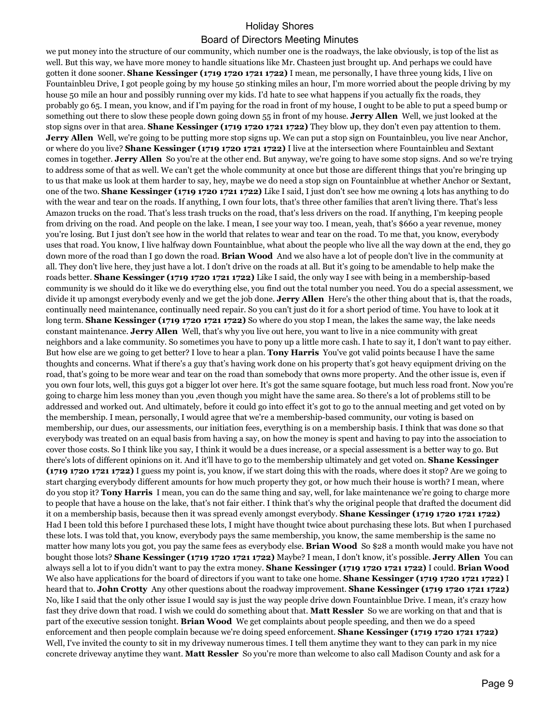we put money into the structure of our community, which number one is the roadways, the lake obviously, is top of the list as well. But this way, we have more money to handle situations like Mr. Chasteen just brought up. And perhaps we could have gotten it done sooner. **Shane Kessinger (1719 1720 1721 1722)** I mean, me personally, I have three young kids, I live on Fountainbleu Drive, I got people going by my house 50 stinking miles an hour, I'm more worried about the people driving by my house 50 mile an hour and possibly running over my kids. I'd hate to see what happens if you actually fix the roads, they probably go 65. I mean, you know, and if I'm paying for the road in front of my house, I ought to be able to put a speed bump or something out there to slow these people down going down 55 in front of my house. **Jerry Allen** Well, we just looked at the stop signs over in that area. **Shane Kessinger (1719 1720 1721 1722)** They blow up, they don't even pay attention to them. **Jerry Allen** Well, we're going to be putting more stop signs up. We can put a stop sign on Fountainbleu, you live near Anchor, or where do you live? **Shane Kessinger (1719 1720 1721 1722)** I live at the intersection where Fountainbleu and Sextant comes in together. **Jerry Allen** So you're at the other end. But anyway, we're going to have some stop signs. And so we're trying to address some of that as well. We can't get the whole community at once but those are different things that you're bringing up to us that make us look at them harder to say, hey, maybe we do need a stop sign on Fountainblue at whether Anchor or Sextant, one of the two. **Shane Kessinger (1719 1720 1721 1722)** Like I said, I just don't see how me owning 4 lots has anything to do with the wear and tear on the roads. If anything, I own four lots, that's three other families that aren't living there. That's less Amazon trucks on the road. That's less trash trucks on the road, that's less drivers on the road. If anything, I'm keeping people from driving on the road. And people on the lake. I mean, I see your way too. I mean, yeah, that's \$660 a year revenue, money you're losing. But I just don't see how in the world that relates to wear and tear on the road. To me that, you know, everybody uses that road. You know, I live halfway down Fountainblue, what about the people who live all the way down at the end, they go down more of the road than I go down the road. **Brian Wood** And we also have a lot of people don't live in the community at all. They don't live here, they just have a lot. I don't drive on the roads at all. But it's going to be amendable to help make the roads better. **Shane Kessinger (1719 1720 1721 1722)** Like I said, the only way I see with being in a membership-based community is we should do it like we do everything else, you find out the total number you need. You do a special assessment, we divide it up amongst everybody evenly and we get the job done. **Jerry Allen** Here's the other thing about that is, that the roads, continually need maintenance, continually need repair. So you can't just do it for a short period of time. You have to look at it long term. **Shane Kessinger (1719 1720 1721 1722)** So where do you stop I mean, the lakes the same way, the lake needs constant maintenance. **Jerry Allen** Well, that's why you live out here, you want to live in a nice community with great neighbors and a lake community. So sometimes you have to pony up a little more cash. I hate to say it, I don't want to pay either. But how else are we going to get better? I love to hear a plan. **Tony Harris** You've got valid points because I have the same thoughts and concerns. What if there's a guy that's having work done on his property that's got heavy equipment driving on the road, that's going to be more wear and tear on the road than somebody that owns more property. And the other issue is, even if you own four lots, well, this guys got a bigger lot over here. It's got the same square footage, but much less road front. Now you're going to charge him less money than you ,even though you might have the same area. So there's a lot of problems still to be addressed and worked out. And ultimately, before it could go into effect it's got to go to the annual meeting and get voted on by the membership. I mean, personally, I would agree that we're a membership-based community, our voting is based on membership, our dues, our assessments, our initiation fees, everything is on a membership basis. I think that was done so that everybody was treated on an equal basis from having a say, on how the money is spent and having to pay into the association to cover those costs. So I think like you say, I think it would be a dues increase, or a special assessment is a better way to go. But there's lots of different opinions on it. And it'll have to go to the membership ultimately and get voted on. **Shane Kessinger (1719 1720 1721 1722)** I guess my point is, you know, if we start doing this with the roads, where does it stop? Are we going to start charging everybody different amounts for how much property they got, or how much their house is worth? I mean, where do you stop it? **Tony Harris** I mean, you can do the same thing and say, well, for lake maintenance we're going to charge more to people that have a house on the lake, that's not fair either. I think that's why the original people that drafted the document did it on a membership basis, because then it was spread evenly amongst everybody. **Shane Kessinger (1719 1720 1721 1722)**  Had I been told this before I purchased these lots, I might have thought twice about purchasing these lots. But when I purchased these lots. I was told that, you know, everybody pays the same membership, you know, the same membership is the same no matter how many lots you got, you pay the same fees as everybody else. **Brian Wood** So \$28 a month would make you have not bought those lots? **Shane Kessinger (1719 1720 1721 1722)** Maybe? I mean, I don't know, it's possible. **Jerry Allen** You can always sell a lot to if you didn't want to pay the extra money. **Shane Kessinger (1719 1720 1721 1722)** I could. **Brian Wood**  We also have applications for the board of directors if you want to take one home. **Shane Kessinger (1719 1720 1721 1722)** I heard that to. **John Crotty** Any other questions about the roadway improvement. **Shane Kessinger (1719 1720 1721 1722)**  No, like I said that the only other issue I would say is just the way people drive down Fountainblue Drive. I mean, it's crazy how fast they drive down that road. I wish we could do something about that. **Matt Ressler** So we are working on that and that is part of the executive session tonight. **Brian Wood** We get complaints about people speeding, and then we do a speed enforcement and then people complain because we're doing speed enforcement. **Shane Kessinger (1719 1720 1721 1722)**  Well, I've invited the county to sit in my driveway numerous times. I tell them anytime they want to they can park in my nice concrete driveway anytime they want. **Matt Ressler** So you're more than welcome to also call Madison County and ask for a